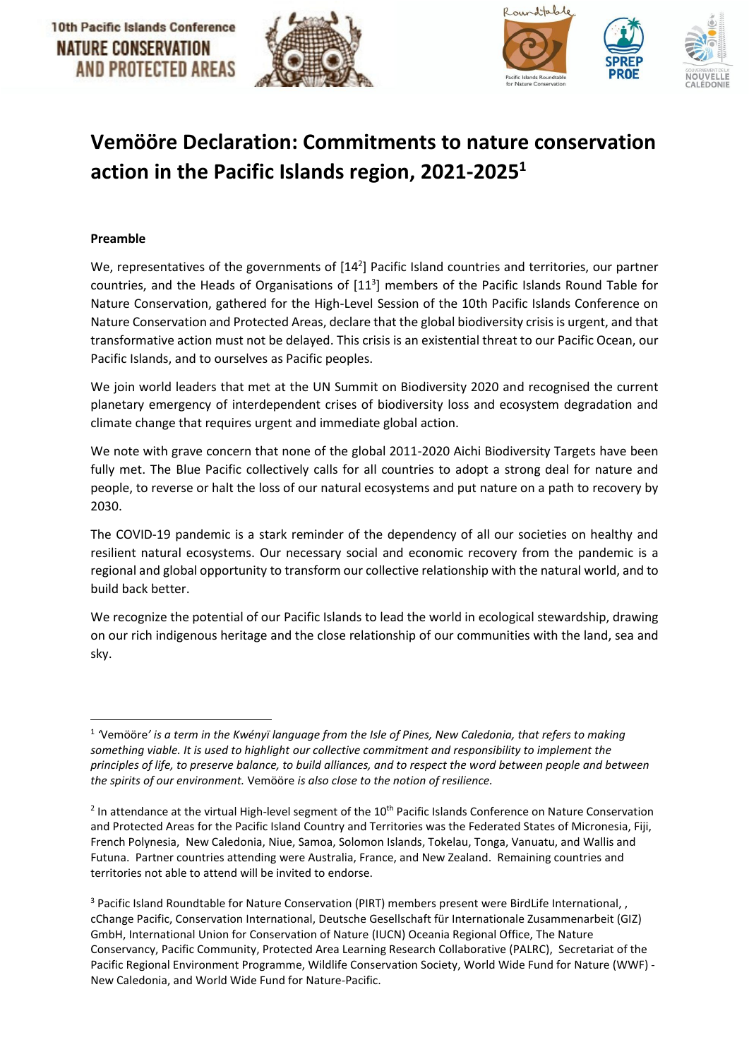



# **Vemööre Declaration: Commitments to nature conservation action in the Pacific Islands region, 2021-2025<sup>1</sup>**

#### **Preamble**

We, representatives of the governments of [14<sup>2</sup>] Pacific Island countries and territories, our partner countries, and the Heads of Organisations of  $[11^3]$  members of the Pacific Islands Round Table for Nature Conservation, gathered for the High-Level Session of the 10th Pacific Islands Conference on Nature Conservation and Protected Areas, declare that the global biodiversity crisis is urgent, and that transformative action must not be delayed. This crisis is an existential threat to our Pacific Ocean, our Pacific Islands, and to ourselves as Pacific peoples.

We join world leaders that met at the UN Summit on Biodiversity 2020 and recognised the current planetary emergency of interdependent crises of biodiversity loss and ecosystem degradation and climate change that requires urgent and immediate global action.

We note with grave concern that none of the global 2011-2020 Aichi Biodiversity Targets have been fully met. The Blue Pacific collectively calls for all countries to adopt a strong deal for nature and people, to reverse or halt the loss of our natural ecosystems and put nature on a path to recovery by 2030.

The COVID-19 pandemic is a stark reminder of the dependency of all our societies on healthy and resilient natural ecosystems. Our necessary social and economic recovery from the pandemic is a regional and global opportunity to transform our collective relationship with the natural world, and to build back better.

We recognize the potential of our Pacific Islands to lead the world in ecological stewardship, drawing on our rich indigenous heritage and the close relationship of our communities with the land, sea and sky.

<sup>1</sup> *'*Vemööre*' is a term in the Kwényï language from the Isle of Pines, New Caledonia, that refers to making something viable. It is used to highlight our collective commitment and responsibility to implement the principles of life, to preserve balance, to build alliances, and to respect the word between people and between the spirits of our environment.* Vemööre *is also close to the notion of resilience.*

 $2$  In attendance at the virtual High-level segment of the 10<sup>th</sup> Pacific Islands Conference on Nature Conservation and Protected Areas for the Pacific Island Country and Territories was the Federated States of Micronesia, Fiji, French Polynesia, New Caledonia, Niue, Samoa, Solomon Islands, Tokelau, Tonga, Vanuatu, and Wallis and Futuna. Partner countries attending were Australia, France, and New Zealand. Remaining countries and territories not able to attend will be invited to endorse.

<sup>&</sup>lt;sup>3</sup> Pacific Island Roundtable for Nature Conservation (PIRT) members present were BirdLife International, , cChange Pacific, Conservation International, Deutsche Gesellschaft für Internationale Zusammenarbeit (GIZ) GmbH, International Union for Conservation of Nature (IUCN) Oceania Regional Office, The Nature Conservancy, Pacific Community, Protected Area Learning Research Collaborative (PALRC), Secretariat of the Pacific Regional Environment Programme, Wildlife Conservation Society, World Wide Fund for Nature (WWF) - New Caledonia, and World Wide Fund for Nature-Pacific.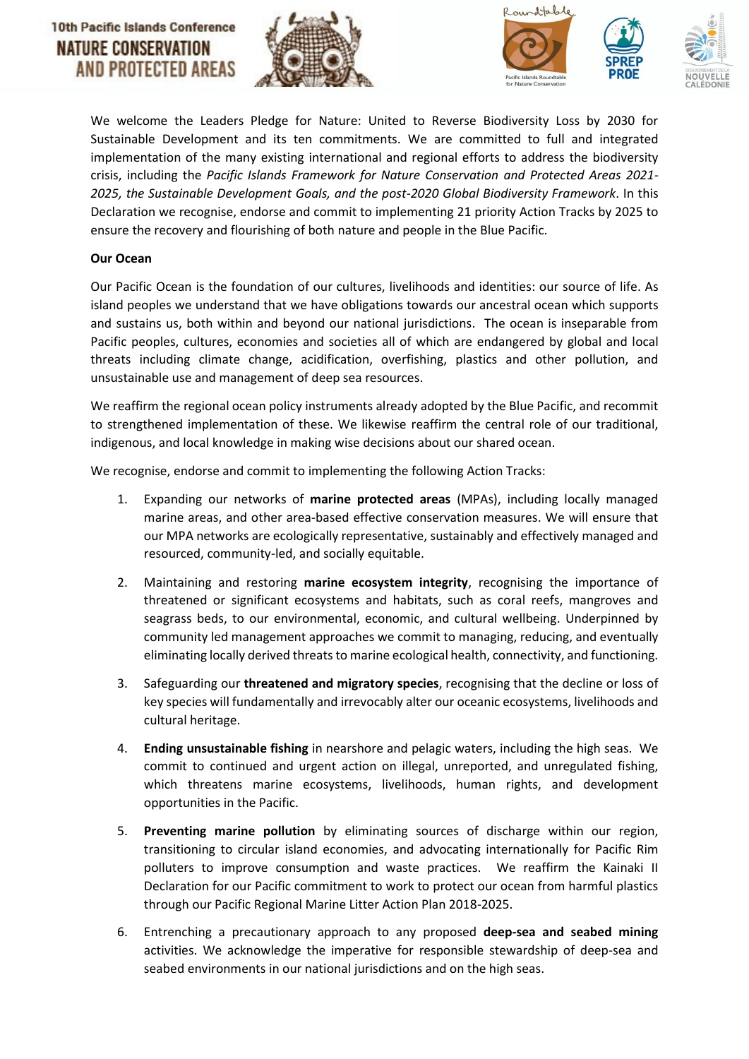## **10th Pacific Islands Conference** NATURE CONSERVATION AND PROTECTED AREAS







We welcome the [Leaders Pledge for Nature: United to Reverse Biodiversity Loss by 2030 for](https://www.leaderspledgefornature.org/)  [Sustainable Development](https://www.leaderspledgefornature.org/) and its ten commitments. We are committed to full and integrated implementation of the many existing international and regional efforts to address the biodiversity crisis, including the *Pacific Islands Framework for Nature Conservation and Protected Areas 2021- 2025, the Sustainable Development Goals, and the post-2020 Global Biodiversity Framework*. In this Declaration we recognise, endorse and commit to implementing 21 priority Action Tracks by 2025 to ensure the recovery and flourishing of both nature and people in the Blue Pacific.

#### **Our Ocean**

Our Pacific Ocean is the foundation of our cultures, livelihoods and identities: our source of life. As island peoples we understand that we have obligations towards our ancestral ocean which supports and sustains us, both within and beyond our national jurisdictions. The ocean is inseparable from Pacific peoples, cultures, economies and societies all of which are endangered by global and local threats including climate change, acidification, overfishing, plastics and other pollution, and unsustainable use and management of deep sea resources.

We reaffirm the regional ocean policy instruments already adopted by the Blue Pacific, and recommit to strengthened implementation of these. We likewise reaffirm the central role of our traditional, indigenous, and local knowledge in making wise decisions about our shared ocean.

We recognise, endorse and commit to implementing the following Action Tracks:

- 1. Expanding our networks of **marine protected areas** (MPAs), including locally managed marine areas, and other area-based effective conservation measures. We will ensure that our MPA networks are ecologically representative, sustainably and effectively managed and resourced, community-led, and socially equitable.
- 2. Maintaining and restoring **marine ecosystem integrity**, recognising the importance of threatened or significant ecosystems and habitats, such as coral reefs, mangroves and seagrass beds, to our environmental, economic, and cultural wellbeing. Underpinned by community led management approaches we commit to managing, reducing, and eventually eliminating locally derived threats to marine ecological health, connectivity, and functioning.
- 3. Safeguarding our **threatened and migratory species**, recognising that the decline or loss of key species will fundamentally and irrevocably alter our oceanic ecosystems, livelihoods and cultural heritage.
- 4. **Ending unsustainable fishing** in nearshore and pelagic waters, including the high seas. We commit to continued and urgent action on illegal, unreported, and unregulated fishing, which threatens marine ecosystems, livelihoods, human rights, and development opportunities in the Pacific.
- 5. **Preventing marine pollution** by eliminating sources of discharge within our region, transitioning to circular island economies, and advocating internationally for Pacific Rim polluters to improve consumption and waste practices. We reaffirm the Kainaki II Declaration for our Pacific commitment to work to protect our ocean from harmful plastics through our Pacific Regional Marine Litter Action Plan 2018-2025.
- 6. Entrenching a precautionary approach to any proposed **deep-sea and seabed mining**  activities. We acknowledge the imperative for responsible stewardship of deep-sea and seabed environments in our national jurisdictions and on the high seas.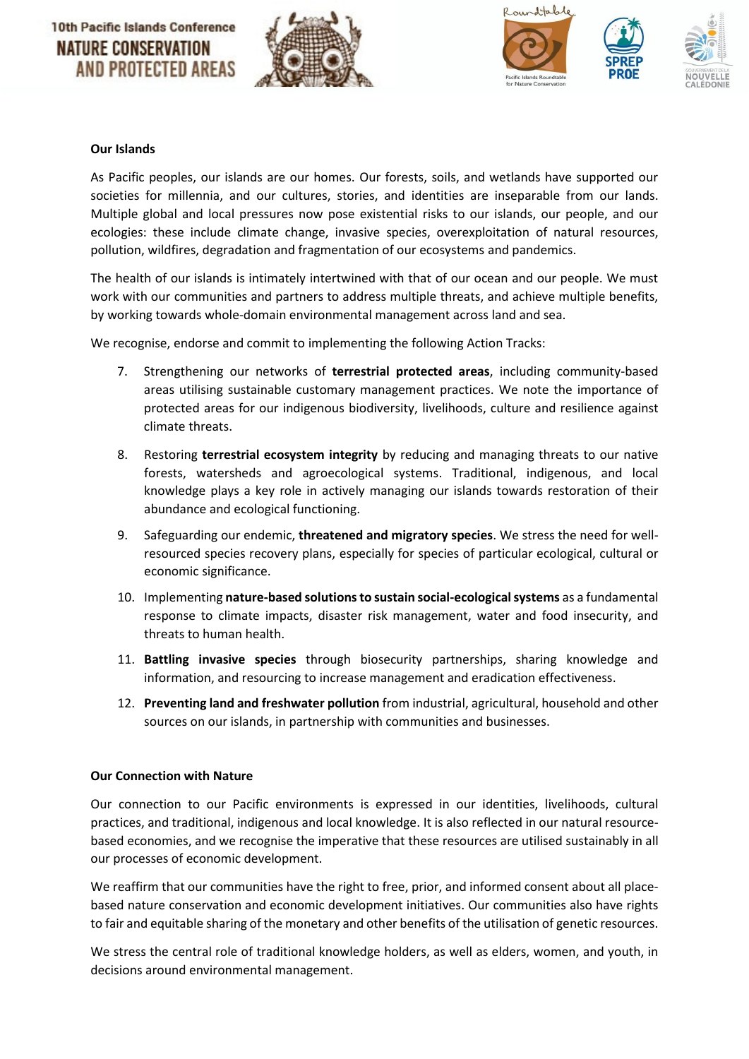





#### **Our Islands**

As Pacific peoples, our islands are our homes. Our forests, soils, and wetlands have supported our societies for millennia, and our cultures, stories, and identities are inseparable from our lands. Multiple global and local pressures now pose existential risks to our islands, our people, and our ecologies: these include climate change, invasive species, overexploitation of natural resources, pollution, wildfires, degradation and fragmentation of our ecosystems and pandemics.

The health of our islands is intimately intertwined with that of our ocean and our people. We must work with our communities and partners to address multiple threats, and achieve multiple benefits, by working towards whole-domain environmental management across land and sea.

We recognise, endorse and commit to implementing the following Action Tracks:

- 7. Strengthening our networks of **terrestrial protected areas**, including community-based areas utilising sustainable customary management practices. We note the importance of protected areas for our indigenous biodiversity, livelihoods, culture and resilience against climate threats.
- 8. Restoring **terrestrial ecosystem integrity** by reducing and managing threats to our native forests, watersheds and agroecological systems. Traditional, indigenous, and local knowledge plays a key role in actively managing our islands towards restoration of their abundance and ecological functioning.
- 9. Safeguarding our endemic, **threatened and migratory species**. We stress the need for wellresourced species recovery plans, especially for species of particular ecological, cultural or economic significance.
- 10. Implementing **nature-based solutions to sustain social-ecological systems** as a fundamental response to climate impacts, disaster risk management, water and food insecurity, and threats to human health.
- 11. **Battling invasive species** through biosecurity partnerships, sharing knowledge and information, and resourcing to increase management and eradication effectiveness.
- 12. **Preventing land and freshwater pollution** from industrial, agricultural, household and other sources on our islands, in partnership with communities and businesses.

#### **Our Connection with Nature**

Our connection to our Pacific environments is expressed in our identities, livelihoods, cultural practices, and traditional, indigenous and local knowledge. It is also reflected in our natural resourcebased economies, and we recognise the imperative that these resources are utilised sustainably in all our processes of economic development.

We reaffirm that our communities have the right to free, prior, and informed consent about all placebased nature conservation and economic development initiatives. Our communities also have rights to fair and equitable sharing of the monetary and other benefits of the utilisation of genetic resources.

We stress the central role of traditional knowledge holders, as well as elders, women, and youth, in decisions around environmental management.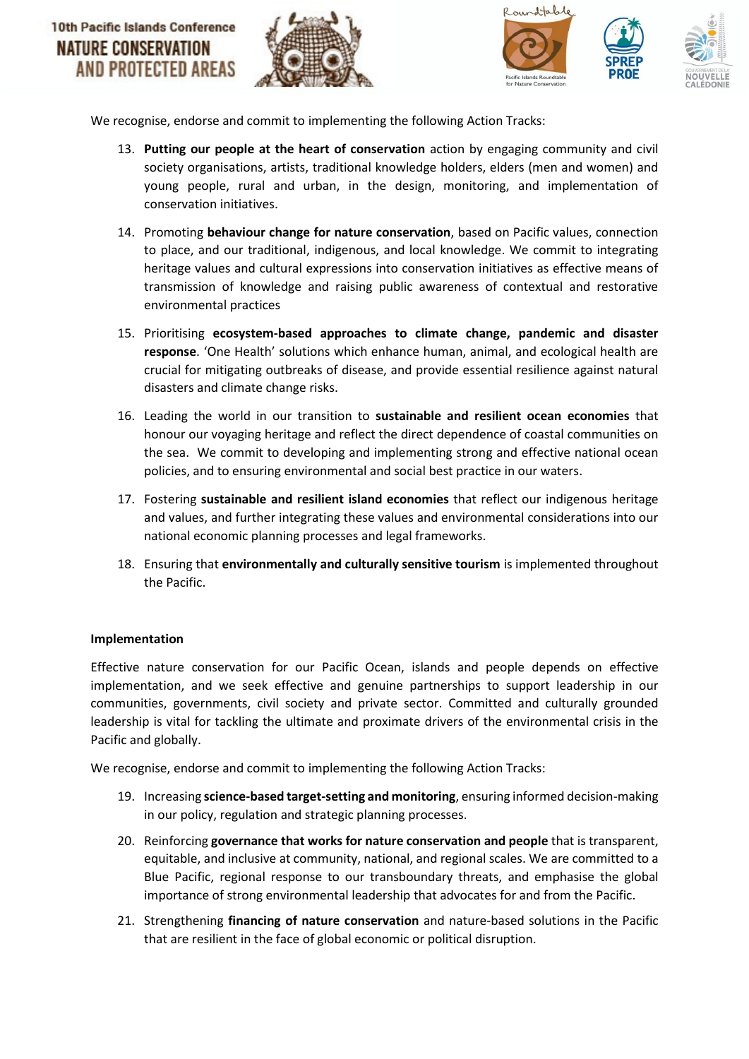





We recognise, endorse and commit to implementing the following Action Tracks:

- 13. **Putting our people at the heart of conservation** action by engaging community and civil society organisations, artists, traditional knowledge holders, elders (men and women) and young people, rural and urban, in the design, monitoring, and implementation of conservation initiatives.
- 14. Promoting **behaviour change for nature conservation**, based on Pacific values, connection to place, and our traditional, indigenous, and local knowledge. We commit to integrating heritage values and cultural expressions into conservation initiatives as effective means of transmission of knowledge and raising public awareness of contextual and restorative environmental practices
- 15. Prioritising **ecosystem-based approaches to climate change, pandemic and disaster response**. 'One Health' solutions which enhance human, animal, and ecological health are crucial for mitigating outbreaks of disease, and provide essential resilience against natural disasters and climate change risks.
- 16. Leading the world in our transition to **sustainable and resilient ocean economies** that honour our voyaging heritage and reflect the direct dependence of coastal communities on the sea. We commit to developing and implementing strong and effective national ocean policies, and to ensuring environmental and social best practice in our waters.
- 17. Fostering **sustainable and resilient island economies** that reflect our indigenous heritage and values, and further integrating these values and environmental considerations into our national economic planning processes and legal frameworks.
- 18. Ensuring that **environmentally and culturally sensitive tourism** is implemented throughout the Pacific.

## **Implementation**

Effective nature conservation for our Pacific Ocean, islands and people depends on effective implementation, and we seek effective and genuine partnerships to support leadership in our communities, governments, civil society and private sector. Committed and culturally grounded leadership is vital for tackling the ultimate and proximate drivers of the environmental crisis in the Pacific and globally.

We recognise, endorse and commit to implementing the following Action Tracks:

- 19. Increasing **science-based target-setting and monitoring**, ensuring informed decision-making in our policy, regulation and strategic planning processes.
- 20. Reinforcing **governance that works for nature conservation and people** that is transparent, equitable, and inclusive at community, national, and regional scales. We are committed to a Blue Pacific, regional response to our transboundary threats, and emphasise the global importance of strong environmental leadership that advocates for and from the Pacific.
- 21. Strengthening **financing of nature conservation** and nature-based solutions in the Pacific that are resilient in the face of global economic or political disruption.